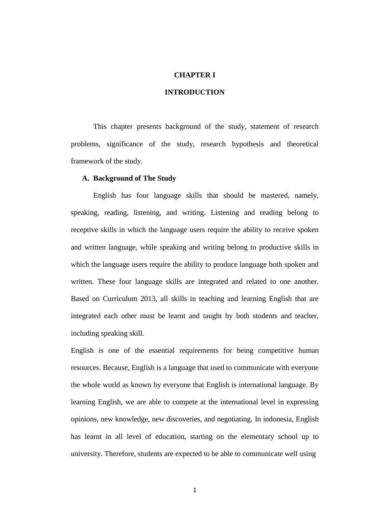# **CHAPTER I**

# **INTRODUCTION**

This chapter presents background of the study, statement of research problems, significance of the study, research hypothesis and theoretical framework of the study.

### **A. Background of The Study**

English has four language skills that should be mastered, namely, speaking, reading, listening, and writing. Listening and reading belong to receptive skills in which the language users require the ability to receive spoken and written language, while speaking and writing belong to productive skills in which the language users require the ability to produce language both spoken and written. These four language skills are integrated and related to one another. Based on Curriculum 2013, all skills in teaching and learning English that are integrated each other must be learnt and taught by both students and teacher, including speaking skill.

English is one of the essential requirements for being competitive human resources. Because, English is a language that used to communicate with everyone the whole world as known by everyone that English is international language. By learning English, we are able to compete at the international level in expressing opinions, new knowledge, new discoveries, and negotiating. In indonesia, English has learnt in all level of education, starting on the elementary school up to university. Therefore, students are expected to be able to communicate well using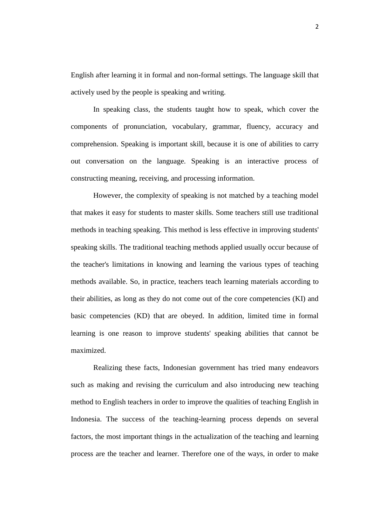English after learning it in formal and non-formal settings. The language skill that actively used by the people is speaking and writing.

In speaking class, the students taught how to speak, which cover the components of pronunciation, vocabulary, grammar, fluency, accuracy and comprehension. Speaking is important skill, because it is one of abilities to carry out conversation on the language. Speaking is an interactive process of constructing meaning, receiving, and processing information.

However, the complexity of speaking is not matched by a teaching model that makes it easy for students to master skills. Some teachers still use traditional methods in teaching speaking. This method is less effective in improving students' speaking skills. The traditional teaching methods applied usually occur because of the teacher's limitations in knowing and learning the various types of teaching methods available. So, in practice, teachers teach learning materials according to their abilities, as long as they do not come out of the core competencies (KI) and basic competencies (KD) that are obeyed. In addition, limited time in formal learning is one reason to improve students' speaking abilities that cannot be maximized.

Realizing these facts, Indonesian government has tried many endeavors such as making and revising the curriculum and also introducing new teaching method to English teachers in order to improve the qualities of teaching English in Indonesia. The success of the teaching-learning process depends on several factors, the most important things in the actualization of the teaching and learning process are the teacher and learner. Therefore one of the ways, in order to make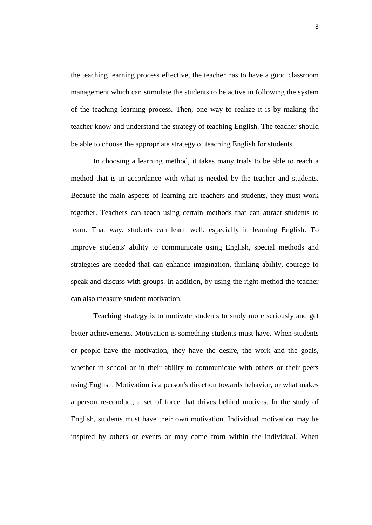the teaching learning process effective, the teacher has to have a good classroom management which can stimulate the students to be active in following the system of the teaching learning process. Then, one way to realize it is by making the teacher know and understand the strategy of teaching English. The teacher should be able to choose the appropriate strategy of teaching English for students.

In choosing a learning method, it takes many trials to be able to reach a method that is in accordance with what is needed by the teacher and students. Because the main aspects of learning are teachers and students, they must work together. Teachers can teach using certain methods that can attract students to learn. That way, students can learn well, especially in learning English. To improve students' ability to communicate using English, special methods and strategies are needed that can enhance imagination, thinking ability, courage to speak and discuss with groups. In addition, by using the right method the teacher can also measure student motivation.

Teaching strategy is to motivate students to study more seriously and get better achievements. Motivation is something students must have. When students or people have the motivation, they have the desire, the work and the goals, whether in school or in their ability to communicate with others or their peers using English. Motivation is a person's direction towards behavior, or what makes a person re-conduct, a set of force that drives behind motives. In the study of English, students must have their own motivation. Individual motivation may be inspired by others or events or may come from within the individual. When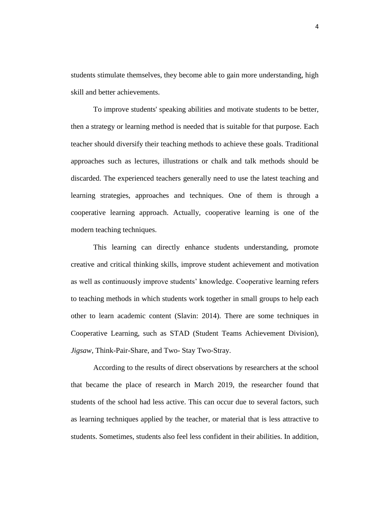students stimulate themselves, they become able to gain more understanding, high skill and better achievements.

To improve students' speaking abilities and motivate students to be better, then a strategy or learning method is needed that is suitable for that purpose. Each teacher should diversify their teaching methods to achieve these goals. Traditional approaches such as lectures, illustrations or chalk and talk methods should be discarded. The experienced teachers generally need to use the latest teaching and learning strategies, approaches and techniques. One of them is through a cooperative learning approach. Actually, cooperative learning is one of the modern teaching techniques.

This learning can directly enhance students understanding, promote creative and critical thinking skills, improve student achievement and motivation as well as continuously improve students' knowledge. Cooperative learning refers to teaching methods in which students work together in small groups to help each other to learn academic content (Slavin: 2014). There are some techniques in Cooperative Learning, such as STAD (Student Teams Achievement Division), *Jigsaw*, Think-Pair-Share, and Two- Stay Two-Stray.

According to the results of direct observations by researchers at the school that became the place of research in March 2019, the researcher found that students of the school had less active. This can occur due to several factors, such as learning techniques applied by the teacher, or material that is less attractive to students. Sometimes, students also feel less confident in their abilities. In addition,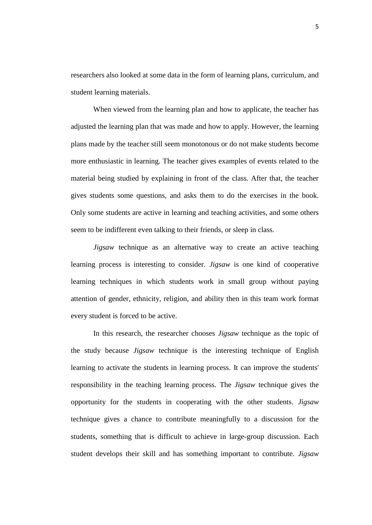researchers also looked at some data in the form of learning plans, curriculum, and student learning materials.

When viewed from the learning plan and how to applicate, the teacher has adjusted the learning plan that was made and how to apply. However, the learning plans made by the teacher still seem monotonous or do not make students become more enthusiastic in learning. The teacher gives examples of events related to the material being studied by explaining in front of the class. After that, the teacher gives students some questions, and asks them to do the exercises in the book. Only some students are active in learning and teaching activities, and some others seem to be indifferent even talking to their friends, or sleep in class.

*Jigsaw* technique as an alternative way to create an active teaching learning process is interesting to consider. *Jigsaw* is one kind of cooperative learning techniques in which students work in small group without paying attention of gender, ethnicity, religion, and ability then in this team work format every student is forced to be active.

In this research, the researcher chooses *Jigsaw* technique as the topic of the study because *Jigsaw* technique is the interesting technique of English learning to activate the students in learning process. It can improve the students' responsibility in the teaching learning process. The *Jigsaw* technique gives the opportunity for the students in cooperating with the other students. *Jigsaw*  technique gives a chance to contribute meaningfully to a discussion for the students, something that is difficult to achieve in large-group discussion. Each student develops their skill and has something important to contribute. *Jigsaw*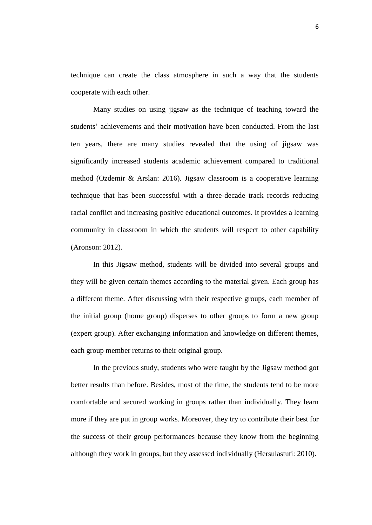technique can create the class atmosphere in such a way that the students cooperate with each other.

Many studies on using jigsaw as the technique of teaching toward the students' achievements and their motivation have been conducted. From the last ten years, there are many studies revealed that the using of jigsaw was significantly increased students academic achievement compared to traditional method (Ozdemir & Arslan: 2016). Jigsaw classroom is a cooperative learning technique that has been successful with a three-decade track records reducing racial conflict and increasing positive educational outcomes. It provides a learning community in classroom in which the students will respect to other capability (Aronson: 2012).

In this Jigsaw method, students will be divided into several groups and they will be given certain themes according to the material given. Each group has a different theme. After discussing with their respective groups, each member of the initial group (home group) disperses to other groups to form a new group (expert group). After exchanging information and knowledge on different themes, each group member returns to their original group.

In the previous study, students who were taught by the Jigsaw method got better results than before. Besides, most of the time, the students tend to be more comfortable and secured working in groups rather than individually. They learn more if they are put in group works. Moreover, they try to contribute their best for the success of their group performances because they know from the beginning although they work in groups, but they assessed individually (Hersulastuti: 2010).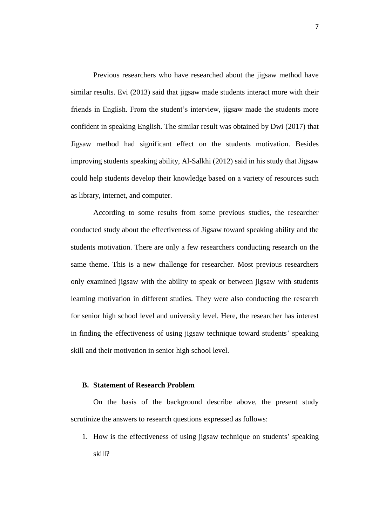Previous researchers who have researched about the jigsaw method have similar results. Evi (2013) said that jigsaw made students interact more with their friends in English. From the student's interview, jigsaw made the students more confident in speaking English. The similar result was obtained by Dwi (2017) that Jigsaw method had significant effect on the students motivation. Besides improving students speaking ability, Al-Salkhi (2012) said in his study that Jigsaw could help students develop their knowledge based on a variety of resources such as library, internet, and computer.

According to some results from some previous studies, the researcher conducted study about the effectiveness of Jigsaw toward speaking ability and the students motivation. There are only a few researchers conducting research on the same theme. This is a new challenge for researcher. Most previous researchers only examined jigsaw with the ability to speak or between jigsaw with students learning motivation in different studies. They were also conducting the research for senior high school level and university level. Here, the researcher has interest in finding the effectiveness of using jigsaw technique toward students' speaking skill and their motivation in senior high school level.

#### **B. Statement of Research Problem**

On the basis of the background describe above, the present study scrutinize the answers to research questions expressed as follows:

1. How is the effectiveness of using jigsaw technique on students' speaking skill?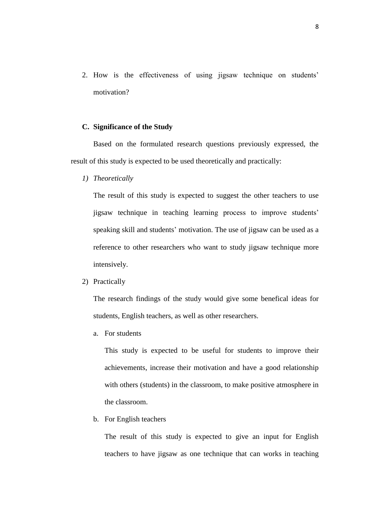2. How is the effectiveness of using jigsaw technique on students' motivation?

# **C. Significance of the Study**

Based on the formulated research questions previously expressed, the result of this study is expected to be used theoretically and practically:

*1) Theoretically*

The result of this study is expected to suggest the other teachers to use jigsaw technique in teaching learning process to improve students' speaking skill and students' motivation. The use of jigsaw can be used as a reference to other researchers who want to study jigsaw technique more intensively.

2) Practically

The research findings of the study would give some benefical ideas for students, English teachers, as well as other researchers.

a. For students

This study is expected to be useful for students to improve their achievements, increase their motivation and have a good relationship with others (students) in the classroom, to make positive atmosphere in the classroom.

b. For English teachers

The result of this study is expected to give an input for English teachers to have jigsaw as one technique that can works in teaching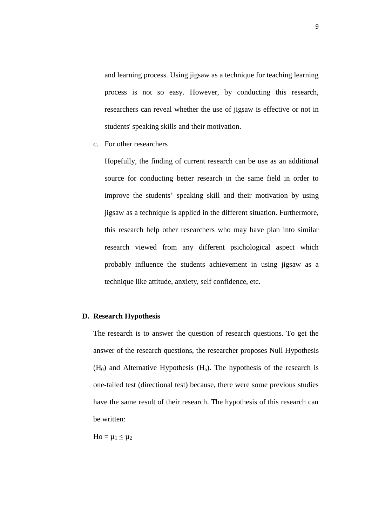and learning process. Using jigsaw as a technique for teaching learning process is not so easy. However, by conducting this research, researchers can reveal whether the use of jigsaw is effective or not in students' speaking skills and their motivation.

c. For other researchers

Hopefully, the finding of current research can be use as an additional source for conducting better research in the same field in order to improve the students' speaking skill and their motivation by using jigsaw as a technique is applied in the different situation. Furthermore, this research help other researchers who may have plan into similar research viewed from any different psichological aspect which probably influence the students achievement in using jigsaw as a technique like attitude, anxiety, self confidence, etc.

## **D. Research Hypothesis**

The research is to answer the question of research questions. To get the answer of the research questions, the researcher proposes Null Hypothesis  $(H<sub>0</sub>)$  and Alternative Hypothesis  $(H<sub>a</sub>)$ . The hypothesis of the research is one-tailed test (directional test) because, there were some previous studies have the same result of their research. The hypothesis of this research can be written:

 $Ho = \mu_1 < \mu_2$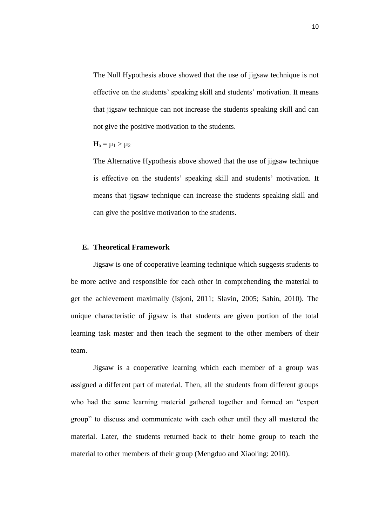The Null Hypothesis above showed that the use of jigsaw technique is not effective on the students' speaking skill and students' motivation. It means that jigsaw technique can not increase the students speaking skill and can not give the positive motivation to the students.

$$
H_a=\mu_1>\mu_2
$$

The Alternative Hypothesis above showed that the use of jigsaw technique is effective on the students' speaking skill and students' motivation. It means that jigsaw technique can increase the students speaking skill and can give the positive motivation to the students.

#### **E. Theoretical Framework**

Jigsaw is one of cooperative learning technique which suggests students to be more active and responsible for each other in comprehending the material to get the achievement maximally (Isjoni, 2011; Slavin, 2005; Sahin, 2010). The unique characteristic of jigsaw is that students are given portion of the total learning task master and then teach the segment to the other members of their team.

Jigsaw is a cooperative learning which each member of a group was assigned a different part of material. Then, all the students from different groups who had the same learning material gathered together and formed an "expert group" to discuss and communicate with each other until they all mastered the material. Later, the students returned back to their home group to teach the material to other members of their group (Mengduo and Xiaoling: 2010).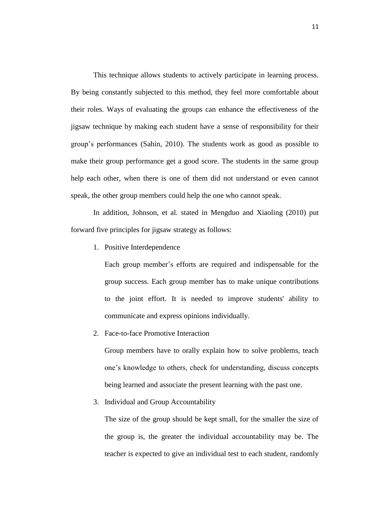This technique allows students to actively participate in learning process. By being constantly subjected to this method, they feel more comfortable about their roles. Ways of evaluating the groups can enhance the effectiveness of the jigsaw technique by making each student have a sense of responsibility for their group's performances (Sahin, 2010). The students work as good as possible to make their group performance get a good score. The students in the same group help each other, when there is one of them did not understand or even cannot speak, the other group members could help the one who cannot speak.

In addition, Johnson, et al. stated in Mengduo and Xiaoling (2010) put forward five principles for jigsaw strategy as follows:

1. Positive Interdependence

Each group member's efforts are required and indispensable for the group success. Each group member has to make unique contributions to the joint effort. It is needed to improve students' ability to communicate and express opinions individually.

2. Face-to-face Promotive Interaction

Group members have to orally explain how to solve problems, teach one's knowledge to others, check for understanding, discuss concepts being learned and associate the present learning with the past one.

3. Individual and Group Accountability

The size of the group should be kept small, for the smaller the size of the group is, the greater the individual accountability may be. The teacher is expected to give an individual test to each student, randomly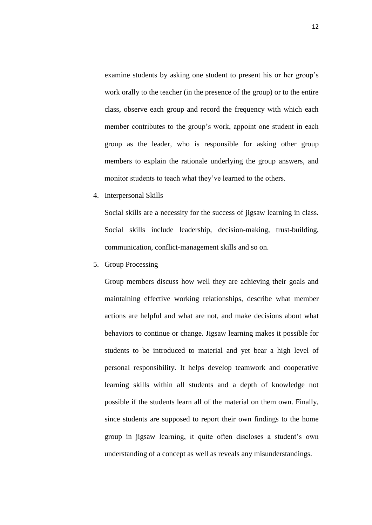examine students by asking one student to present his or her group's work orally to the teacher (in the presence of the group) or to the entire class, observe each group and record the frequency with which each member contributes to the group's work, appoint one student in each group as the leader, who is responsible for asking other group members to explain the rationale underlying the group answers, and monitor students to teach what they've learned to the others.

4. Interpersonal Skills

Social skills are a necessity for the success of jigsaw learning in class. Social skills include leadership, decision-making, trust-building, communication, conflict-management skills and so on.

5. Group Processing

Group members discuss how well they are achieving their goals and maintaining effective working relationships, describe what member actions are helpful and what are not, and make decisions about what behaviors to continue or change. Jigsaw learning makes it possible for students to be introduced to material and yet bear a high level of personal responsibility. It helps develop teamwork and cooperative learning skills within all students and a depth of knowledge not possible if the students learn all of the material on them own. Finally, since students are supposed to report their own findings to the home group in jigsaw learning, it quite often discloses a student's own understanding of a concept as well as reveals any misunderstandings.